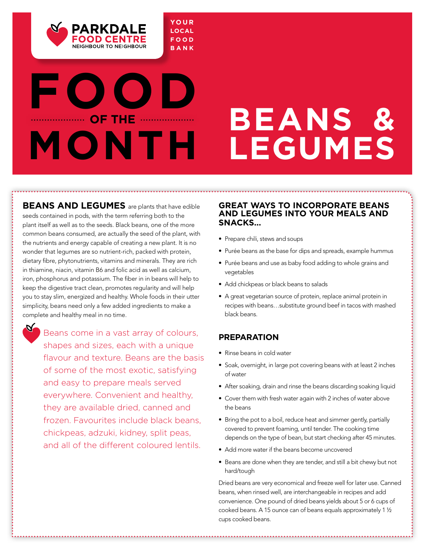

## **FO OF THE ........... MONTH**

**BEANS AND LEGUMES** are plants that have edible seeds contained in pods, with the term referring both to the plant itself as well as to the seeds. Black beans, one of the more common beans consumed, are actually the seed of the plant, with the nutrients and energy capable of creating a new plant. It is no wonder that legumes are so nutrient-rich, packed with protein, dietary fibre, phytonutrients, vitamins and minerals. They are rich in thiamine, niacin, vitamin B6 and folic acid as well as calcium, iron, phosphorus and potassium. The fiber in in beans will help to keep the digestive tract clean, promotes regularity and will help you to stay slim, energized and healthy. Whole foods in their utter simplicity, beans need only a few added ingredients to make a complete and healthy meal in no time.

Beans come in a vast array of colours, shapes and sizes, each with a unique flavour and texture. Beans are the basis of some of the most exotic, satisfying and easy to prepare meals served everywhere. Convenient and healthy, they are available dried, canned and frozen. Favourites include black beans, chickpeas, adzuki, kidney, split peas, and all of the different coloured lentils.

#### **Great ways to incorporate beans and legumes into your meals and snacks…**

**Beans &** 

**Legumes** 

- Prepare chili, stews and soups
- Purée beans as the base for dips and spreads, example hummus
- Purée beans and use as baby food adding to whole grains and vegetables
- Add chickpeas or black beans to salads
- A great vegetarian source of protein, replace animal protein in recipes with beans…substitute ground beef in tacos with mashed black beans.

#### **Preparation**

- Rinse beans in cold water
- Soak, overnight, in large pot covering beans with at least 2 inches of water
- After soaking, drain and rinse the beans discarding soaking liquid
- Cover them with fresh water again with 2 inches of water above the beans
- Bring the pot to a boil, reduce heat and simmer gently, partially covered to prevent foaming, until tender. The cooking time depends on the type of bean, but start checking after 45 minutes.
- Add more water if the beans become uncovered
- Beans are done when they are tender, and still a bit chewy but not hard/tough

Dried beans are very economical and freeze well for later use. Canned beans, when rinsed well, are interchangeable in recipes and add convenience. One pound of dried beans yields about 5 or 6 cups of cooked beans. A 15 ounce can of beans equals approximately 1 ½ cups cooked beans.